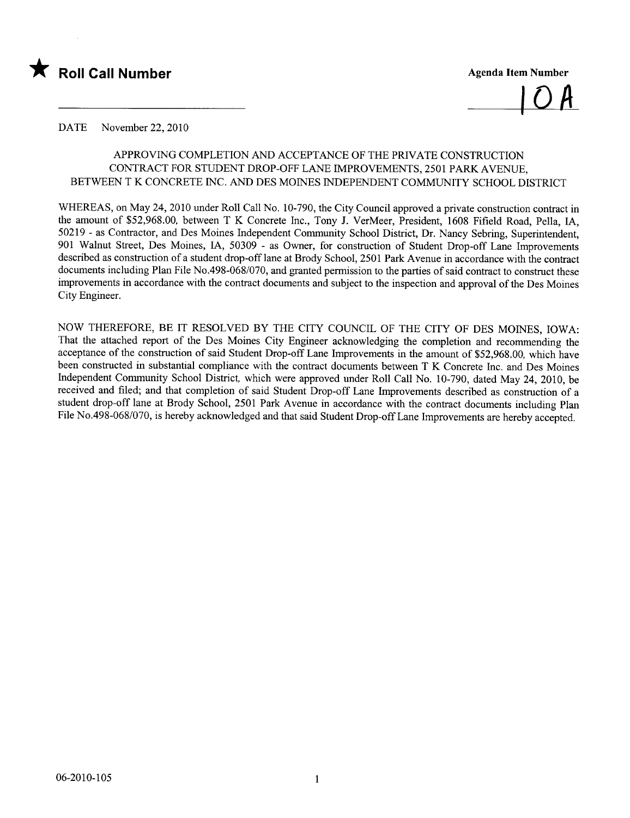

 $\overline{OA}$ 

DATE November 22, 2010

# APPROVING COMPLETION AND ACCEPTANCE OF THE PRIVATE CONSTRUCTION CONTRACT FOR STUDENT DROP-OFF LANE IMPROVEMENTS, 2501 PARK AVENUE, BETWEEN T K CONCRETE INC. AND DES MOINES INDEPENDENT COMMUNITY SCHOOL DISTRICT

WHEREAS, on May 24,2010 under Roll Call No. 10-790, the City Council approved a private construction contract in the amount of \$52,968.00, between T K Concrete Inc., Tony J. VerMeer, President, 1608 Fifield Road, Pella, lA, 50219 - as Contractor, and Des Moines Independent Community School District, Dr. Nancy Sebring, Superintendent, 901 Walnut Street, Des Moines, lA, 50309 - as Owner, for construction of Student Drop-off Lane Improvements described as construction of a student drop-off lane at Brody School, 2501 Park Avenue in accordance with the contract documents including Plan File No.498-068/070, and granted permission to the parties of said contract to construct these improvements in accordance with the contract documents and subject to the inspection and approval of the Des Moines City Engineer.

NOW THEREFORE, BE IT RESOLVED BY THE CITY COUNCIL OF THE CITY OF DES MOINES, IOWA: That the attached report of the Des Moines City Engineer acknowledging the completion and recommending the acceptance of the construction of said Student Drop-off Lane Improvements in the amount of \$52,968.00, which have been constructed in substantial compliance with the contract documents between T K Concrete Inc. and Des Moines Independent Community School District, which were approved under Roll Call No. 10-790, dated May 24,2010, be received and fied; and that completion of said Student Drop-off Lane Improvements described as construction of a student drop-off lane at Brody School, 2501 Park Avenue in accordance with the contract documents including Plan File No.498-068/070, is hereby acknowledged and that said Student Drop-off Lane Improvements are hereby accepted.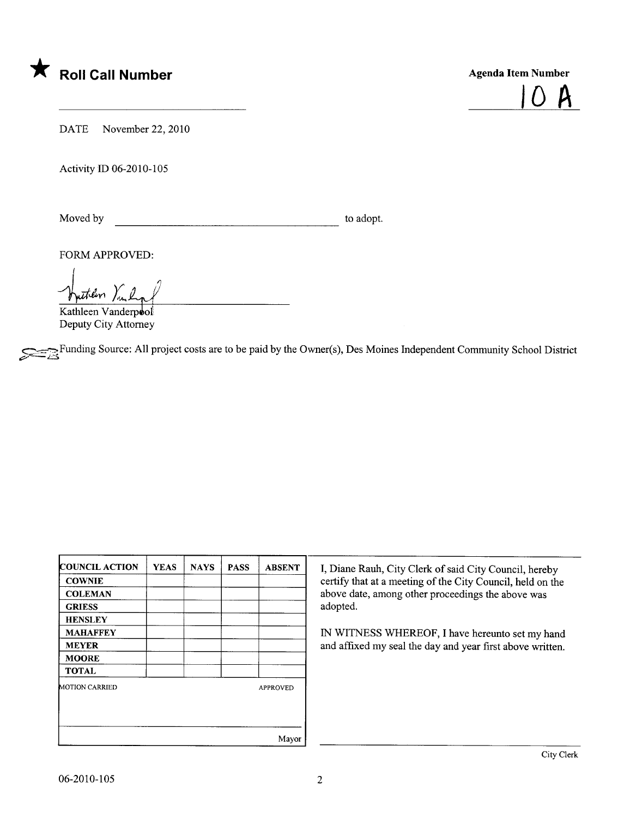



DATE November 22, 2010

Activity ID 06-2010-105

Moved by to adopt.

FORM APPROVED:

netlen Vanl

Kathleen Vanderpool Deputy City Attorney

Funding Source: All project costs are to be paid by the Owner(s), Des Moines Independent Community School District

| <b>COUNCIL ACTION</b> | <b>YEAS</b> | <b>NAYS</b> | <b>PASS</b> | <b>ABSENT</b>   |
|-----------------------|-------------|-------------|-------------|-----------------|
| <b>COWNIE</b>         |             |             |             |                 |
| <b>COLEMAN</b>        |             |             |             |                 |
| <b>GRIESS</b>         |             |             |             |                 |
| <b>HENSLEY</b>        |             |             |             |                 |
| <b>MAHAFFEY</b>       |             |             |             |                 |
| <b>MEYER</b>          |             |             |             |                 |
| <b>MOORE</b>          |             |             |             |                 |
| <b>TOTAL</b>          |             |             |             |                 |
| <b>MOTION CARRIED</b> |             |             |             | <b>APPROVED</b> |
|                       |             |             |             |                 |
|                       |             |             |             | Mayor           |

I, Diane Rauh, City Clerk of said City Council, hereby certify that at a meeting of the City Council, held on the above date, among other proceedings the above was adopted.

IN WITNESS WHEREOF, I have hereunto set my hand and affixed my seal the day and year first above written.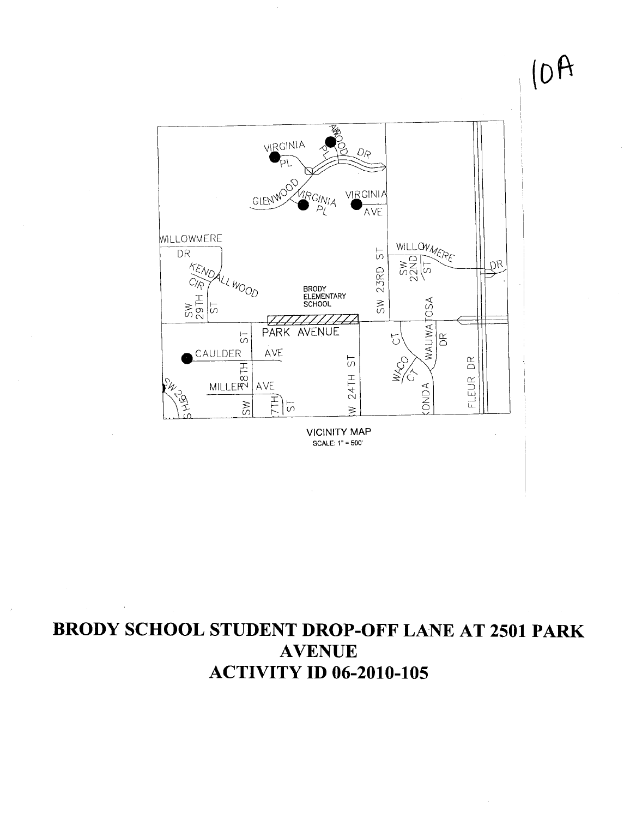



**VICINITY MAP** SCALE: 1" = 500"

# **BRODY SCHOOL STUDENT DROP-OFF LANE AT 2501 PARK AVENUE ACTIVITY ID 06-2010-105**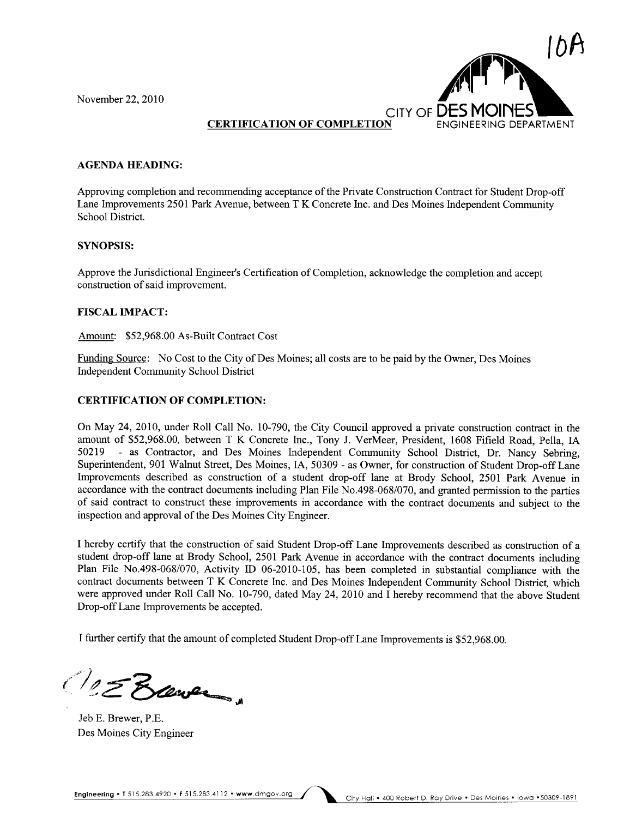November 22,2010



# **CERTIFICATION OF COMPLETION**

#### AGENDA HEADING:

Approving completion and recommending acceptance of the Private Construction Contract for Student Drop-off Lane Improvements 2501 Park Avenue, between T K Concrete Inc. and Des Moines Independent Community School District.

### SYNOPSIS:

Approve the Jurisdictional Engineer's Certification of Completion, acknowledge the completion and accept construction of said improvement.

#### FISCAL IMPACT:

Amount: \$52,968.00 As-Built Contract Cost

Funding Source: No Cost to the City of Des Moines; all costs are to be paid by the Owner, Des Moines Independent Community School District

## CERTIFICATION OF COMPLETION:

On May 24, 2010, under Roll Call No. 10-790, the City Council approved a private construction contract in the amount of \$52,968.00, between T K Concrete Inc., Tony J. VerMeer, President, 1608 Fifield Road, Pella, IA 50219 - as Contractor, and Des Moines Independent Community School District, Dr. Nancy Sebring, Superintendent, 901 Walnut Street, Des Moines, lA, 50309 - as Owner, for construction of Student Drop-off Lane Improvements described as construction of a student drop-off lane at Brody School, 2501 Park Avenue in accordance with the contract documents including Plan File No.498-068/070, and granted permssion to the paries of said contract to construct these improvements in accordance with the contract documents and subject to the inspection and approval of the Des Moines City Engineer.

I hereby certify that the construction of said Student Drop-off Lane Improvements described as construction of a student drop-off lane at Brody School, 2501 Park Avenue in accordance with the contract documents including Plan File No.498-068/070, Activity ID 06-2010-105, has been completed in substantial compliance with the contract documents between T K Concrete Inc. and Des Moines Independent Community School District, which were approved under Roll Call No. 10-790, dated May 24,2010 and I hereby recommend that the above Student Drop-off Lane Improvements be accepted.

I further certify that the amount of completed Student Drop-off Lane Improvements is \$52,968.00.

(15 Bawer

Jeb E. Brewer, P.E. Des Moines City Engineer